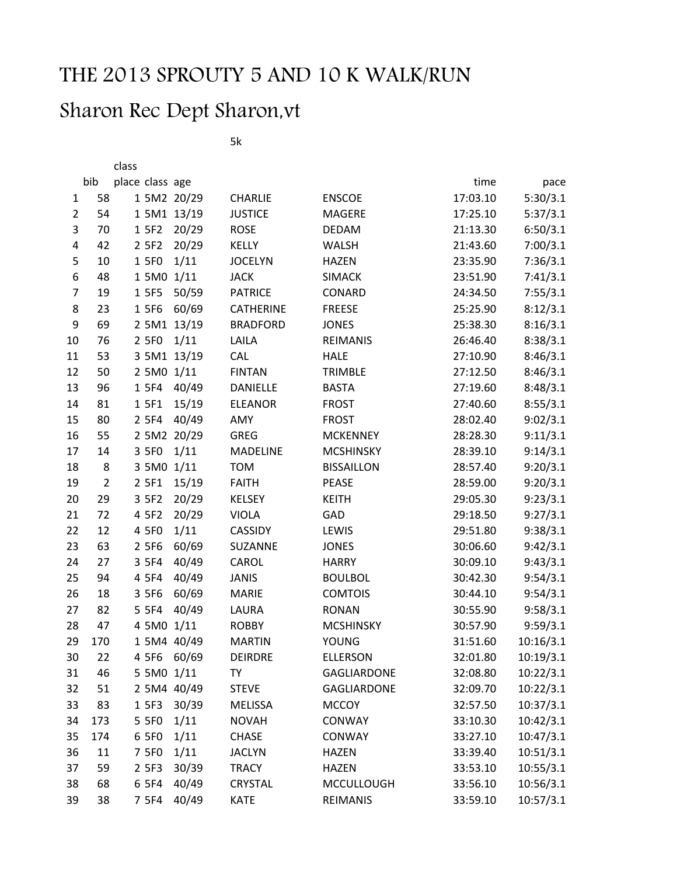## THE 2013 SPROUTY 5 AND 10 K WALK/RUN

## Sharon Rec Dept Sharon,vt

class

5k

|                         | bib            | place class age |       |             |                 |                    | time     | pace      |
|-------------------------|----------------|-----------------|-------|-------------|-----------------|--------------------|----------|-----------|
| $\mathbf{1}$            | 58             |                 |       | 1 5M2 20/29 | <b>CHARLIE</b>  | <b>ENSCOE</b>      | 17:03.10 | 5:30/3.1  |
| $\overline{2}$          | 54             |                 |       | 1 5M1 13/19 | <b>JUSTICE</b>  | MAGERE             | 17:25.10 | 5:37/3.1  |
| 3                       | 70             | 1 5F2           |       | 20/29       | <b>ROSE</b>     | <b>DEDAM</b>       | 21:13.30 | 6:50/3.1  |
| $\overline{\mathbf{4}}$ | 42             | 2 5 F 2         |       | 20/29       | <b>KELLY</b>    | <b>WALSH</b>       | 21:43.60 | 7:00/3.1  |
| 5                       | 10             | 1 5F0           |       | 1/11        | <b>JOCELYN</b>  | <b>HAZEN</b>       | 23:35.90 | 7:36/3.1  |
| 6                       | 48             |                 |       | 1 5M0 1/11  | <b>JACK</b>     | <b>SIMACK</b>      | 23:51.90 | 7:41/3.1  |
| $\overline{7}$          | 19             | 1 5F5           |       | 50/59       | <b>PATRICE</b>  | CONARD             | 24:34.50 | 7:55/3.1  |
| 8                       | 23             | 1 5F6           |       | 60/69       | CATHERINE       | <b>FREESE</b>      | 25:25.90 | 8:12/3.1  |
| 9                       | 69             |                 |       | 2 5M1 13/19 | <b>BRADFORD</b> | <b>JONES</b>       | 25:38.30 | 8:16/3.1  |
| 10                      | 76             | 2 5F0           |       | 1/11        | LAILA           | <b>REIMANIS</b>    | 26:46.40 | 8:38/3.1  |
| 11                      | 53             |                 |       | 3 5M1 13/19 | CAL             | <b>HALE</b>        | 27:10.90 | 8:46/3.1  |
| 12                      | 50             |                 |       | 2 5M0 1/11  | <b>FINTAN</b>   | <b>TRIMBLE</b>     | 27:12.50 | 8:46/3.1  |
| 13                      | 96             | 1 5F4           |       | 40/49       | DANIELLE        | <b>BASTA</b>       | 27:19.60 | 8:48/3.1  |
| 14                      | 81             | 1 5F1           |       | 15/19       | <b>ELEANOR</b>  | <b>FROST</b>       | 27:40.60 | 8:55/3.1  |
| 15                      | 80             | 2 5F4           |       | 40/49       | AMY             | <b>FROST</b>       | 28:02.40 | 9:02/3.1  |
| 16                      | 55             |                 |       | 2 5M2 20/29 | <b>GREG</b>     | <b>MCKENNEY</b>    | 28:28.30 | 9:11/3.1  |
| 17                      | 14             | 3 5F0           |       | 1/11        | <b>MADELINE</b> | <b>MCSHINSKY</b>   | 28:39.10 | 9:14/3.1  |
| 18                      | 8              |                 | 3 5M0 | 1/11        | <b>TOM</b>      | <b>BISSAILLON</b>  | 28:57.40 | 9:20/3.1  |
| 19                      | $\overline{2}$ | 2 5F1           |       | 15/19       | <b>FAITH</b>    | <b>PEASE</b>       | 28:59.00 | 9:20/3.1  |
| 20                      | 29             | 3 5 F 2         |       | 20/29       | <b>KELSEY</b>   | <b>KEITH</b>       | 29:05.30 | 9:23/3.1  |
| 21                      | 72             | 4 5 F 2         |       | 20/29       | <b>VIOLA</b>    | GAD                | 29:18.50 | 9:27/3.1  |
| 22                      | 12             | 4 5F0           |       | 1/11        | CASSIDY         | LEWIS              | 29:51.80 | 9:38/3.1  |
| 23                      | 63             | 2 5F6           |       | 60/69       | SUZANNE         | <b>JONES</b>       | 30:06.60 | 9:42/3.1  |
| 24                      | 27             | 3 5F4           |       | 40/49       | CAROL           | <b>HARRY</b>       | 30:09.10 | 9:43/3.1  |
| 25                      | 94             | 4 5 F 4         |       | 40/49       | <b>JANIS</b>    | <b>BOULBOL</b>     | 30:42.30 | 9:54/3.1  |
| 26                      | 18             | 3 5F6           |       | 60/69       | <b>MARIE</b>    | <b>COMTOIS</b>     | 30:44.10 | 9:54/3.1  |
| 27                      | 82             | 5 5 F 4         |       | 40/49       | LAURA           | <b>RONAN</b>       | 30:55.90 | 9:58/3.1  |
| 28                      | 47             |                 |       | 4 5M0 1/11  | <b>ROBBY</b>    | <b>MCSHINSKY</b>   | 30:57.90 | 9:59/3.1  |
| 29                      | 170            |                 |       | 1 5M4 40/49 | <b>MARTIN</b>   | <b>YOUNG</b>       | 31:51.60 | 10:16/3.1 |
| 30                      | 22             | 4 5F6           |       | 60/69       | <b>DEIRDRE</b>  | <b>ELLERSON</b>    | 32:01.80 | 10:19/3.1 |
| 31                      | 46             |                 |       | 5 5M0 1/11  | TY              | <b>GAGLIARDONE</b> | 32:08.80 | 10:22/3.1 |
| 32                      | 51             |                 |       | 2 5M4 40/49 | <b>STEVE</b>    | GAGLIARDONE        | 32:09.70 | 10:22/3.1 |
| 33                      | 83             | 1 5F3           |       | 30/39       | <b>MELISSA</b>  | <b>MCCOY</b>       | 32:57.50 | 10:37/3.1 |
| 34                      | 173            | 5 5 F 0         |       | 1/11        | <b>NOVAH</b>    | CONWAY             | 33:10.30 | 10:42/3.1 |
| 35                      | 174            | 6 5F0           |       | 1/11        | <b>CHASE</b>    | CONWAY             | 33:27.10 | 10:47/3.1 |
| 36                      | 11             | 7 5F0           |       | 1/11        | <b>JACLYN</b>   | <b>HAZEN</b>       | 33:39.40 | 10:51/3.1 |
| 37                      | 59             | 2 5F3           |       | 30/39       | <b>TRACY</b>    | <b>HAZEN</b>       | 33:53.10 | 10:55/3.1 |
| 38                      | 68             | 6 5F4           |       | 40/49       | <b>CRYSTAL</b>  | <b>MCCULLOUGH</b>  | 33:56.10 | 10:56/3.1 |
| 39                      | 38             | 7 5F4           |       | 40/49       | <b>KATE</b>     | REIMANIS           | 33:59.10 | 10:57/3.1 |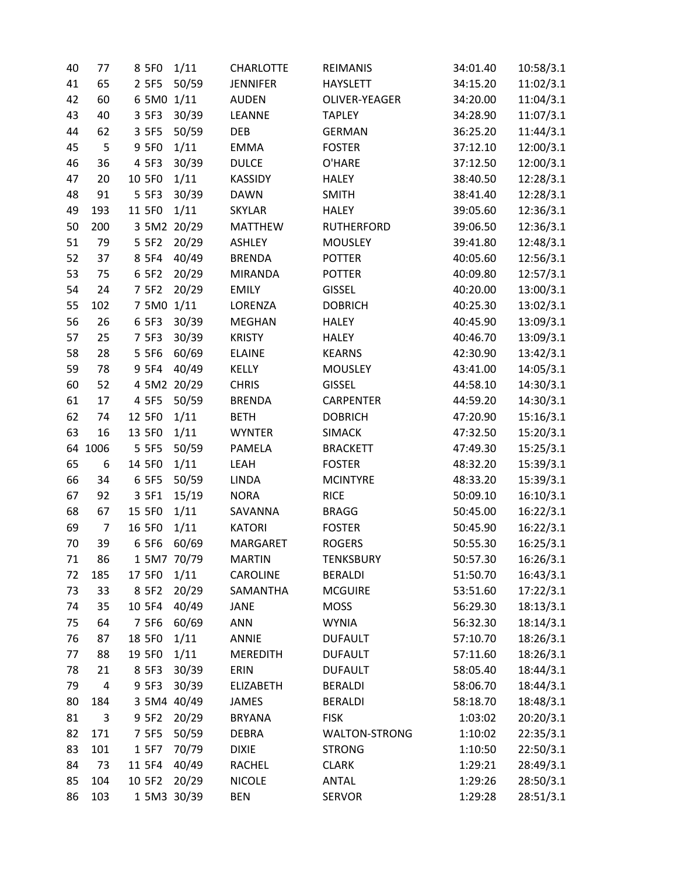| 40 | 77                      | 8 5F0       | 1/11        | <b>CHARLOTTE</b> | <b>REIMANIS</b>   | 34:01.40 | 10:58/3.1 |
|----|-------------------------|-------------|-------------|------------------|-------------------|----------|-----------|
| 41 | 65                      | 2 5F5       | 50/59       | <b>JENNIFER</b>  | <b>HAYSLETT</b>   | 34:15.20 | 11:02/3.1 |
| 42 | 60                      | 6 5M0 1/11  |             | <b>AUDEN</b>     | OLIVER-YEAGER     | 34:20.00 | 11:04/3.1 |
| 43 | 40                      | 3 5F3       | 30/39       | LEANNE           | <b>TAPLEY</b>     | 34:28.90 | 11:07/3.1 |
| 44 | 62                      | 3 5F5       | 50/59       | DEB              | <b>GERMAN</b>     | 36:25.20 | 11:44/3.1 |
| 45 | 5                       | 9 5F0       | 1/11        | <b>EMMA</b>      | <b>FOSTER</b>     | 37:12.10 | 12:00/3.1 |
| 46 | 36                      | 4 5 F 3     | 30/39       | <b>DULCE</b>     | O'HARE            | 37:12.50 | 12:00/3.1 |
| 47 | 20                      | 10 5F0      | 1/11        | KASSIDY          | <b>HALEY</b>      | 38:40.50 | 12:28/3.1 |
| 48 | 91                      | 5 5 F 3     | 30/39       | <b>DAWN</b>      | <b>SMITH</b>      | 38:41.40 | 12:28/3.1 |
| 49 | 193                     | 11 5F0      | 1/11        | <b>SKYLAR</b>    | <b>HALEY</b>      | 39:05.60 | 12:36/3.1 |
| 50 | 200                     |             | 3 5M2 20/29 | <b>MATTHEW</b>   | <b>RUTHERFORD</b> | 39:06.50 | 12:36/3.1 |
| 51 | 79                      | 5 5 F 2     | 20/29       | <b>ASHLEY</b>    | <b>MOUSLEY</b>    | 39:41.80 | 12:48/3.1 |
| 52 | 37                      | 8 5 F 4     | 40/49       | <b>BRENDA</b>    | <b>POTTER</b>     | 40:05.60 | 12:56/3.1 |
| 53 | 75                      | 6 5F2       | 20/29       | <b>MIRANDA</b>   | <b>POTTER</b>     | 40:09.80 | 12:57/3.1 |
| 54 | 24                      | 7 5F2       | 20/29       | <b>EMILY</b>     | <b>GISSEL</b>     | 40:20.00 | 13:00/3.1 |
| 55 | 102                     | 7 5M0 1/11  |             | LORENZA          | <b>DOBRICH</b>    | 40:25.30 | 13:02/3.1 |
| 56 | 26                      | 6 5F3       | 30/39       | <b>MEGHAN</b>    | <b>HALEY</b>      | 40:45.90 | 13:09/3.1 |
| 57 | 25                      | 7 5F3       | 30/39       | <b>KRISTY</b>    | <b>HALEY</b>      | 40:46.70 | 13:09/3.1 |
| 58 | 28                      | 5 5 F 6     | 60/69       | <b>ELAINE</b>    | <b>KEARNS</b>     | 42:30.90 | 13:42/3.1 |
| 59 | 78                      | 9 5 F 4     | 40/49       | KELLY            | <b>MOUSLEY</b>    | 43:41.00 | 14:05/3.1 |
| 60 | 52                      | 4 5M2 20/29 |             | <b>CHRIS</b>     | <b>GISSEL</b>     | 44:58.10 | 14:30/3.1 |
| 61 | 17                      | 4 5 F 5     | 50/59       | <b>BRENDA</b>    | <b>CARPENTER</b>  | 44:59.20 | 14:30/3.1 |
| 62 | 74                      | 12 5F0      | 1/11        | <b>BETH</b>      | <b>DOBRICH</b>    | 47:20.90 | 15:16/3.1 |
| 63 | 16                      | 13 5F0      | 1/11        | <b>WYNTER</b>    | <b>SIMACK</b>     | 47:32.50 | 15:20/3.1 |
| 64 | 1006                    | 5 5 F 5     | 50/59       | PAMELA           | <b>BRACKETT</b>   | 47:49.30 | 15:25/3.1 |
| 65 | 6                       | 14 5F0      | 1/11        | LEAH             | <b>FOSTER</b>     | 48:32.20 | 15:39/3.1 |
| 66 | 34                      | 6 5F5       | 50/59       | <b>LINDA</b>     | <b>MCINTYRE</b>   | 48:33.20 | 15:39/3.1 |
| 67 | 92                      | 3 5F1       | 15/19       | <b>NORA</b>      | <b>RICE</b>       | 50:09.10 | 16:10/3.1 |
| 68 | 67                      | 15 5F0      | 1/11        | SAVANNA          | <b>BRAGG</b>      | 50:45.00 | 16:22/3.1 |
| 69 | $\overline{7}$          | 16 5F0      | 1/11        | <b>KATORI</b>    | <b>FOSTER</b>     | 50:45.90 | 16:22/3.1 |
| 70 | 39                      | 6 5F6       | 60/69       | MARGARET         | <b>ROGERS</b>     | 50:55.30 | 16:25/3.1 |
| 71 | 86                      | 1 5M7 70/79 |             | <b>MARTIN</b>    | <b>TENKSBURY</b>  | 50:57.30 | 16:26/3.1 |
| 72 | 185                     | 17 5F0      | 1/11        | <b>CAROLINE</b>  | <b>BERALDI</b>    | 51:50.70 | 16:43/3.1 |
| 73 | 33                      | 8 5 F 2     | 20/29       | SAMANTHA         | <b>MCGUIRE</b>    | 53:51.60 | 17:22/3.1 |
| 74 | 35                      | 10 5F4      | 40/49       | JANE             | <b>MOSS</b>       | 56:29.30 | 18:13/3.1 |
| 75 | 64                      | 7 5F6       | 60/69       | <b>ANN</b>       | <b>WYNIA</b>      | 56:32.30 | 18:14/3.1 |
| 76 | 87                      | 18 5F0      | 1/11        | ANNIE            | <b>DUFAULT</b>    | 57:10.70 | 18:26/3.1 |
| 77 | 88                      | 19 5F0      | 1/11        | <b>MEREDITH</b>  | <b>DUFAULT</b>    | 57:11.60 | 18:26/3.1 |
| 78 | 21                      | 8 5 F 3     | 30/39       | ERIN             | <b>DUFAULT</b>    | 58:05.40 | 18:44/3.1 |
| 79 | $\overline{\mathbf{4}}$ | 9 5 F 3     | 30/39       | <b>ELIZABETH</b> | <b>BERALDI</b>    | 58:06.70 | 18:44/3.1 |
| 80 | 184                     | 3 5M4 40/49 |             | JAMES            | <b>BERALDI</b>    | 58:18.70 | 18:48/3.1 |
| 81 | 3                       | 9 5 F 2     | 20/29       | <b>BRYANA</b>    | <b>FISK</b>       | 1:03:02  | 20:20/3.1 |
| 82 | 171                     | 7 5F5       | 50/59       | <b>DEBRA</b>     | WALTON-STRONG     | 1:10:02  | 22:35/3.1 |
| 83 | 101                     | 1 5F7       | 70/79       | <b>DIXIE</b>     | <b>STRONG</b>     | 1:10:50  | 22:50/3.1 |
| 84 | 73                      | 11 5F4      | 40/49       | RACHEL           | <b>CLARK</b>      | 1:29:21  | 28:49/3.1 |
| 85 | 104                     | 10 5F2      | 20/29       | <b>NICOLE</b>    | <b>ANTAL</b>      | 1:29:26  | 28:50/3.1 |
| 86 | 103                     |             | 1 5M3 30/39 | <b>BEN</b>       | <b>SERVOR</b>     | 1:29:28  | 28:51/3.1 |